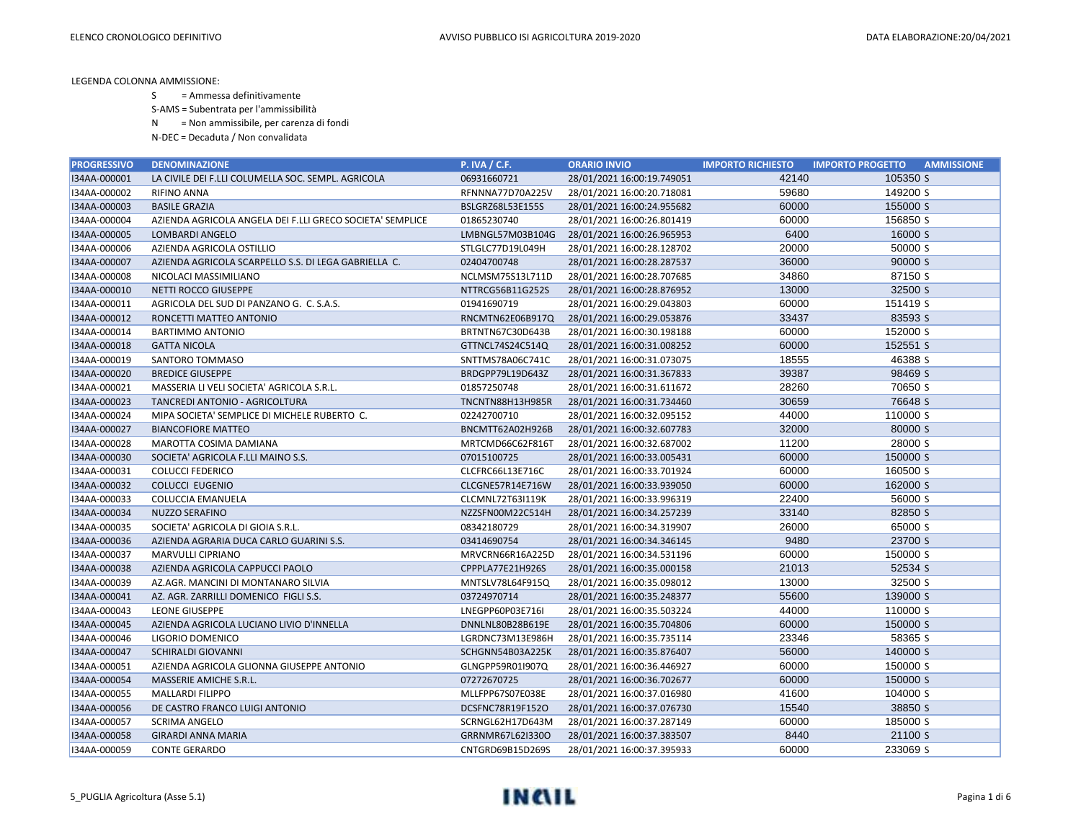S = Ammessa definitivamente

S-AMS = Subentrata per l'ammissibilità

N = Non ammissibile, per carenza di fondi

| <b>PROGRESSIVO</b> | <b>DENOMINAZIONE</b>                                      | <b>P. IVA / C.F.</b>    | <b>ORARIO INVIO</b>        | <b>IMPORTO RICHIESTO</b> | <b>IMPORTO PROGETTO</b><br><b>AMMISSIONE</b> |  |
|--------------------|-----------------------------------------------------------|-------------------------|----------------------------|--------------------------|----------------------------------------------|--|
| I34AA-000001       | LA CIVILE DEI F.LLI COLUMELLA SOC. SEMPL. AGRICOLA        | 06931660721             | 28/01/2021 16:00:19.749051 | 42140                    | 105350 S                                     |  |
| I34AA-000002       | <b>RIFINO ANNA</b>                                        | RFNNNA77D70A225V        | 28/01/2021 16:00:20.718081 | 59680                    | 149200 S                                     |  |
| I34AA-000003       | <b>BASILE GRAZIA</b>                                      | BSLGRZ68L53E155S        | 28/01/2021 16:00:24.955682 | 60000                    | 155000 S                                     |  |
| I34AA-000004       | AZIENDA AGRICOLA ANGELA DEI F.LLI GRECO SOCIETA' SEMPLICE | 01865230740             | 28/01/2021 16:00:26.801419 | 60000                    | 156850 S                                     |  |
| I34AA-000005       | <b>LOMBARDI ANGELO</b>                                    | LMBNGL57M03B104G        | 28/01/2021 16:00:26.965953 | 6400                     | 16000 S                                      |  |
| I34AA-000006       | AZIENDA AGRICOLA OSTILLIO                                 | STLGLC77D19L049H        | 28/01/2021 16:00:28.128702 | 20000                    | 50000 S                                      |  |
| I34AA-000007       | AZIENDA AGRICOLA SCARPELLO S.S. DI LEGA GABRIELLA C.      | 02404700748             | 28/01/2021 16:00:28.287537 | 36000                    | 90000 S                                      |  |
| I34AA-000008       | NICOLACI MASSIMILIANO                                     | NCLMSM75S13L711D        | 28/01/2021 16:00:28.707685 | 34860                    | 87150 S                                      |  |
| I34AA-000010       | NETTI ROCCO GIUSEPPE                                      | NTTRCG56B11G252S        | 28/01/2021 16:00:28.876952 | 13000                    | 32500 S                                      |  |
| I34AA-000011       | AGRICOLA DEL SUD DI PANZANO G. C. S.A.S.                  | 01941690719             | 28/01/2021 16:00:29.043803 | 60000                    | 151419 S                                     |  |
| I34AA-000012       | RONCETTI MATTEO ANTONIO                                   | RNCMTN62E06B917Q        | 28/01/2021 16:00:29.053876 | 33437                    | 83593 S                                      |  |
| I34AA-000014       | <b>BARTIMMO ANTONIO</b>                                   | BRTNTN67C30D643B        | 28/01/2021 16:00:30.198188 | 60000                    | 152000 S                                     |  |
| I34AA-000018       | <b>GATTA NICOLA</b>                                       | GTTNCL74S24C514Q        | 28/01/2021 16:00:31.008252 | 60000                    | 152551 S                                     |  |
| I34AA-000019       | SANTORO TOMMASO                                           | SNTTMS78A06C741C        | 28/01/2021 16:00:31.073075 | 18555                    | 46388 S                                      |  |
| I34AA-000020       | <b>BREDICE GIUSEPPE</b>                                   | BRDGPP79L19D643Z        | 28/01/2021 16:00:31.367833 | 39387                    | 98469 S                                      |  |
| I34AA-000021       | MASSERIA LI VELI SOCIETA' AGRICOLA S.R.L.                 | 01857250748             | 28/01/2021 16:00:31.611672 | 28260                    | 70650 S                                      |  |
| I34AA-000023       | TANCREDI ANTONIO - AGRICOLTURA                            | <b>TNCNTN88H13H985R</b> | 28/01/2021 16:00:31.734460 | 30659                    | 76648 S                                      |  |
| I34AA-000024       | MIPA SOCIETA' SEMPLICE DI MICHELE RUBERTO C.              | 02242700710             | 28/01/2021 16:00:32.095152 | 44000                    | 110000 S                                     |  |
| I34AA-000027       | <b>BIANCOFIORE MATTEO</b>                                 | BNCMTT62A02H926B        | 28/01/2021 16:00:32.607783 | 32000                    | 80000 S                                      |  |
| I34AA-000028       | MAROTTA COSIMA DAMIANA                                    | MRTCMD66C62F816T        | 28/01/2021 16:00:32.687002 | 11200                    | 28000 S                                      |  |
| I34AA-000030       | SOCIETA' AGRICOLA F.LLI MAINO S.S.                        | 07015100725             | 28/01/2021 16:00:33.005431 | 60000                    | 150000 S                                     |  |
| I34AA-000031       | <b>COLUCCI FEDERICO</b>                                   | CLCFRC66L13E716C        | 28/01/2021 16:00:33.701924 | 60000                    | 160500 S                                     |  |
| I34AA-000032       | <b>COLUCCI EUGENIO</b>                                    | CLCGNE57R14E716W        | 28/01/2021 16:00:33.939050 | 60000                    | 162000 S                                     |  |
| I34AA-000033       | COLUCCIA EMANUELA                                         | <b>CLCMNL72T63I119K</b> | 28/01/2021 16:00:33.996319 | 22400                    | 56000 S                                      |  |
| I34AA-000034       | NUZZO SERAFINO                                            | NZZSFN00M22C514H        | 28/01/2021 16:00:34.257239 | 33140                    | 82850 S                                      |  |
| I34AA-000035       | SOCIETA' AGRICOLA DI GIOIA S.R.L.                         | 08342180729             | 28/01/2021 16:00:34.319907 | 26000                    | 65000 S                                      |  |
| I34AA-000036       | AZIENDA AGRARIA DUCA CARLO GUARINI S.S.                   | 03414690754             | 28/01/2021 16:00:34.346145 | 9480                     | 23700 S                                      |  |
| I34AA-000037       | MARVULLI CIPRIANO                                         | MRVCRN66R16A225D        | 28/01/2021 16:00:34.531196 | 60000                    | 150000 S                                     |  |
| I34AA-000038       | AZIENDA AGRICOLA CAPPUCCI PAOLO                           | CPPPLA77E21H926S        | 28/01/2021 16:00:35.000158 | 21013                    | 52534 S                                      |  |
| I34AA-000039       | AZ.AGR. MANCINI DI MONTANARO SILVIA                       | MNTSLV78L64F915Q        | 28/01/2021 16:00:35.098012 | 13000                    | 32500 S                                      |  |
| I34AA-000041       | AZ. AGR. ZARRILLI DOMENICO FIGLI S.S.                     | 03724970714             | 28/01/2021 16:00:35.248377 | 55600                    | 139000 S                                     |  |
| I34AA-000043       | <b>LEONE GIUSEPPE</b>                                     | LNEGPP60P03E716I        | 28/01/2021 16:00:35.503224 | 44000                    | 110000 S                                     |  |
| I34AA-000045       | AZIENDA AGRICOLA LUCIANO LIVIO D'INNELLA                  | DNNLNL80B28B619E        | 28/01/2021 16:00:35.704806 | 60000                    | 150000 S                                     |  |
| I34AA-000046       | LIGORIO DOMENICO                                          | LGRDNC73M13E986H        | 28/01/2021 16:00:35.735114 | 23346                    | 58365 S                                      |  |
| I34AA-000047       | <b>SCHIRALDI GIOVANNI</b>                                 | SCHGNN54B03A225K        | 28/01/2021 16:00:35.876407 | 56000                    | 140000 S                                     |  |
| I34AA-000051       | AZIENDA AGRICOLA GLIONNA GIUSEPPE ANTONIO                 | GLNGPP59R01I907Q        | 28/01/2021 16:00:36.446927 | 60000                    | 150000 S                                     |  |
| I34AA-000054       | MASSERIE AMICHE S.R.L.                                    | 07272670725             | 28/01/2021 16:00:36.702677 | 60000                    | 150000 S                                     |  |
| I34AA-000055       | <b>MALLARDI FILIPPO</b>                                   | MLLFPP67S07E038E        | 28/01/2021 16:00:37.016980 | 41600                    | 104000 S                                     |  |
| I34AA-000056       | DE CASTRO FRANCO LUIGI ANTONIO                            | DCSFNC78R19F152O        | 28/01/2021 16:00:37.076730 | 15540                    | 38850 S                                      |  |
| I34AA-000057       | <b>SCRIMA ANGELO</b>                                      | SCRNGL62H17D643M        | 28/01/2021 16:00:37.287149 | 60000                    | 185000 S                                     |  |
| I34AA-000058       | <b>GIRARDI ANNA MARIA</b>                                 | GRRNMR67L62I330O        | 28/01/2021 16:00:37.383507 | 8440                     | 21100 S                                      |  |
| I34AA-000059       | <b>CONTE GERARDO</b>                                      | CNTGRD69B15D269S        | 28/01/2021 16:00:37.395933 | 60000                    | 233069 S                                     |  |

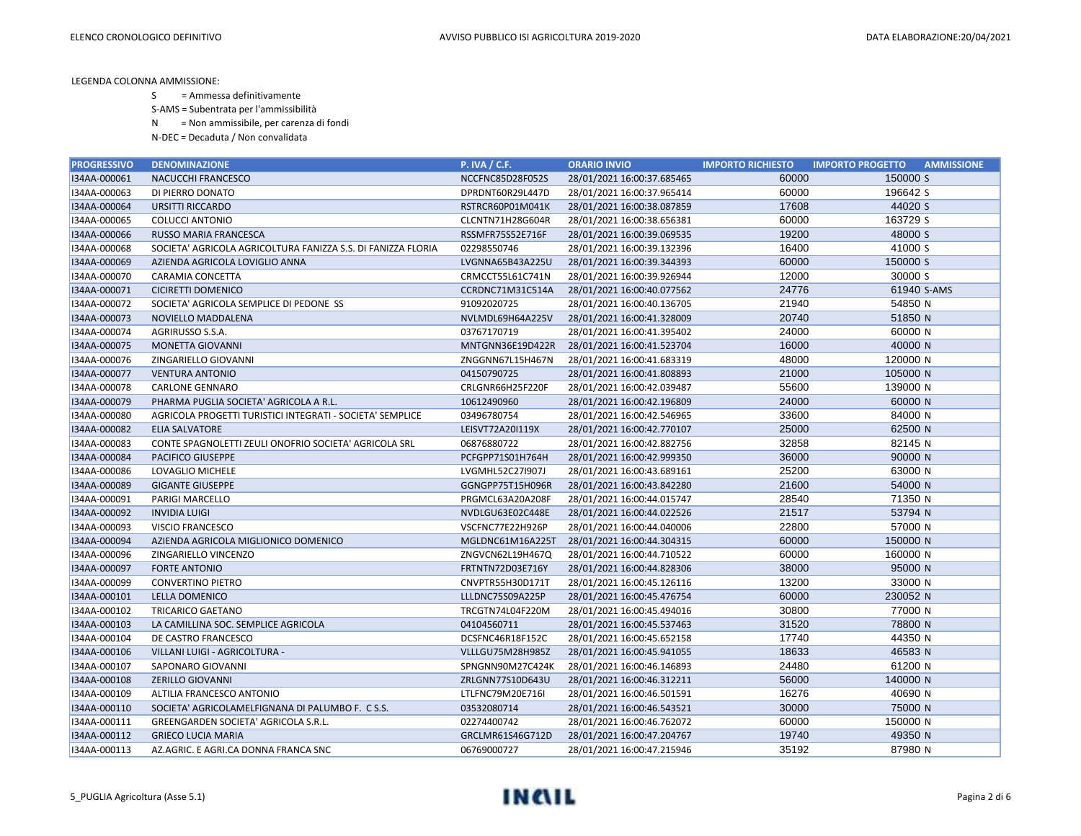S = Ammessa definitivamente

S-AMS = Subentrata per l'ammissibilità

N = Non ammissibile, per carenza di fondi

| <b>PROGRESSIVO</b> | <b>DENOMINAZIONE</b>                                         | <b>P. IVA / C.F.</b> | <b>ORARIO INVIO</b>        | <b>IMPORTO RICHIESTO</b> | <b>IMPORTO PROGETTO</b> | <b>AMMISSIONE</b> |
|--------------------|--------------------------------------------------------------|----------------------|----------------------------|--------------------------|-------------------------|-------------------|
| I34AA-000061       | NACUCCHI FRANCESCO                                           | NCCFNC85D28F052S     | 28/01/2021 16:00:37.685465 | 60000                    | 150000 S                |                   |
| I34AA-000063       | DI PIERRO DONATO                                             | DPRDNT60R29L447D     | 28/01/2021 16:00:37.965414 | 60000                    | 196642 S                |                   |
| I34AA-000064       | <b>URSITTI RICCARDO</b>                                      | RSTRCR60P01M041K     | 28/01/2021 16:00:38.087859 | 17608                    | 44020 S                 |                   |
| I34AA-000065       | <b>COLUCCI ANTONIO</b>                                       | CLCNTN71H28G604R     | 28/01/2021 16:00:38.656381 | 60000                    | 163729 S                |                   |
| I34AA-000066       | RUSSO MARIA FRANCESCA                                        | RSSMFR75S52E716F     | 28/01/2021 16:00:39.069535 | 19200                    | 48000 S                 |                   |
| I34AA-000068       | SOCIETA' AGRICOLA AGRICOLTURA FANIZZA S.S. DI FANIZZA FLORIA | 02298550746          | 28/01/2021 16:00:39.132396 | 16400                    | 41000 S                 |                   |
| I34AA-000069       | AZIENDA AGRICOLA LOVIGLIO ANNA                               | LVGNNA65B43A225U     | 28/01/2021 16:00:39.344393 | 60000                    | 150000 S                |                   |
| I34AA-000070       | <b>CARAMIA CONCETTA</b>                                      | CRMCCT55L61C741N     | 28/01/2021 16:00:39.926944 | 12000                    | 30000 S                 |                   |
| I34AA-000071       | <b>CICIRETTI DOMENICO</b>                                    | CCRDNC71M31C514A     | 28/01/2021 16:00:40.077562 | 24776                    | 61940 S-AMS             |                   |
| I34AA-000072       | SOCIETA' AGRICOLA SEMPLICE DI PEDONE SS                      | 91092020725          | 28/01/2021 16:00:40.136705 | 21940                    | 54850 N                 |                   |
| I34AA-000073       | NOVIELLO MADDALENA                                           | NVLMDL69H64A225V     | 28/01/2021 16:00:41.328009 | 20740                    | 51850 N                 |                   |
| I34AA-000074       | AGRIRUSSO S.S.A.                                             | 03767170719          | 28/01/2021 16:00:41.395402 | 24000                    | 60000 N                 |                   |
| I34AA-000075       | <b>MONETTA GIOVANNI</b>                                      | MNTGNN36E19D422R     | 28/01/2021 16:00:41.523704 | 16000                    | 40000 N                 |                   |
| I34AA-000076       | ZINGARIELLO GIOVANNI                                         | ZNGGNN67L15H467N     | 28/01/2021 16:00:41.683319 | 48000                    | 120000 N                |                   |
| I34AA-000077       | <b>VENTURA ANTONIO</b>                                       | 04150790725          | 28/01/2021 16:00:41.808893 | 21000                    | 105000 N                |                   |
| I34AA-000078       | <b>CARLONE GENNARO</b>                                       | CRLGNR66H25F220F     | 28/01/2021 16:00:42.039487 | 55600                    | 139000 N                |                   |
| I34AA-000079       | PHARMA PUGLIA SOCIETA' AGRICOLA A R.L.                       | 10612490960          | 28/01/2021 16:00:42.196809 | 24000                    | 60000 N                 |                   |
| I34AA-000080       | AGRICOLA PROGETTI TURISTICI INTEGRATI - SOCIETA' SEMPLICE    | 03496780754          | 28/01/2021 16:00:42.546965 | 33600                    | 84000 N                 |                   |
| I34AA-000082       | <b>ELIA SALVATORE</b>                                        | LEISVT72A20I119X     | 28/01/2021 16:00:42.770107 | 25000                    | 62500 N                 |                   |
| I34AA-000083       | CONTE SPAGNOLETTI ZEULI ONOFRIO SOCIETA' AGRICOLA SRL        | 06876880722          | 28/01/2021 16:00:42.882756 | 32858                    | 82145 N                 |                   |
| I34AA-000084       | <b>PACIFICO GIUSEPPE</b>                                     | PCFGPP71S01H764H     | 28/01/2021 16:00:42.999350 | 36000                    | 90000 N                 |                   |
| I34AA-000086       | LOVAGLIO MICHELE                                             | LVGMHL52C27I907J     | 28/01/2021 16:00:43.689161 | 25200                    | 63000 N                 |                   |
| I34AA-000089       | <b>GIGANTE GIUSEPPE</b>                                      | GGNGPP75T15H096R     | 28/01/2021 16:00:43.842280 | 21600                    | 54000 N                 |                   |
| I34AA-000091       | PARIGI MARCELLO                                              | PRGMCL63A20A208F     | 28/01/2021 16:00:44.015747 | 28540                    | 71350 N                 |                   |
| I34AA-000092       | <b>INVIDIA LUIGI</b>                                         | NVDLGU63E02C448E     | 28/01/2021 16:00:44.022526 | 21517                    | 53794 N                 |                   |
| I34AA-000093       | <b>VISCIO FRANCESCO</b>                                      | VSCFNC77E22H926P     | 28/01/2021 16:00:44.040006 | 22800                    | 57000 N                 |                   |
| I34AA-000094       | AZIENDA AGRICOLA MIGLIONICO DOMENICO                         | MGLDNC61M16A225T     | 28/01/2021 16:00:44.304315 | 60000                    | 150000 N                |                   |
| I34AA-000096       | ZINGARIELLO VINCENZO                                         | ZNGVCN62L19H467Q     | 28/01/2021 16:00:44.710522 | 60000                    | 160000 N                |                   |
| I34AA-000097       | <b>FORTE ANTONIO</b>                                         | FRTNTN72D03E716Y     | 28/01/2021 16:00:44.828306 | 38000                    | 95000 N                 |                   |
| I34AA-000099       | <b>CONVERTINO PIETRO</b>                                     | CNVPTR55H30D171T     | 28/01/2021 16:00:45.126116 | 13200                    | 33000 N                 |                   |
| I34AA-000101       | <b>LELLA DOMENICO</b>                                        | LLLDNC75S09A225P     | 28/01/2021 16:00:45.476754 | 60000                    | 230052 N                |                   |
| I34AA-000102       | TRICARICO GAETANO                                            | TRCGTN74L04F220M     | 28/01/2021 16:00:45.494016 | 30800                    | 77000 N                 |                   |
| I34AA-000103       | LA CAMILLINA SOC. SEMPLICE AGRICOLA                          | 04104560711          | 28/01/2021 16:00:45.537463 | 31520                    | 78800 N                 |                   |
| I34AA-000104       | DE CASTRO FRANCESCO                                          | DCSFNC46R18F152C     | 28/01/2021 16:00:45.652158 | 17740                    | 44350 N                 |                   |
| I34AA-000106       | VILLANI LUIGI - AGRICOLTURA -                                | VLLLGU75M28H985Z     | 28/01/2021 16:00:45.941055 | 18633                    | 46583 N                 |                   |
| I34AA-000107       | SAPONARO GIOVANNI                                            | SPNGNN90M27C424K     | 28/01/2021 16:00:46.146893 | 24480                    | 61200 N                 |                   |
| I34AA-000108       | <b>ZERILLO GIOVANNI</b>                                      | ZRLGNN77S10D643U     | 28/01/2021 16:00:46.312211 | 56000                    | 140000 N                |                   |
| I34AA-000109       | ALTILIA FRANCESCO ANTONIO                                    | LTLFNC79M20E716I     | 28/01/2021 16:00:46.501591 | 16276                    | 40690 N                 |                   |
| I34AA-000110       | SOCIETA' AGRICOLAMELFIGNANA DI PALUMBO F. CS.S.              | 03532080714          | 28/01/2021 16:00:46.543521 | 30000                    | 75000 N                 |                   |
| I34AA-000111       | GREENGARDEN SOCIETA' AGRICOLA S.R.L.                         | 02274400742          | 28/01/2021 16:00:46.762072 | 60000                    | 150000 N                |                   |
| I34AA-000112       | <b>GRIECO LUCIA MARIA</b>                                    | GRCLMR61S46G712D     | 28/01/2021 16:00:47.204767 | 19740                    | 49350 N                 |                   |
| I34AA-000113       | AZ.AGRIC. E AGRI.CA DONNA FRANCA SNC                         | 06769000727          | 28/01/2021 16:00:47.215946 | 35192                    | 87980 N                 |                   |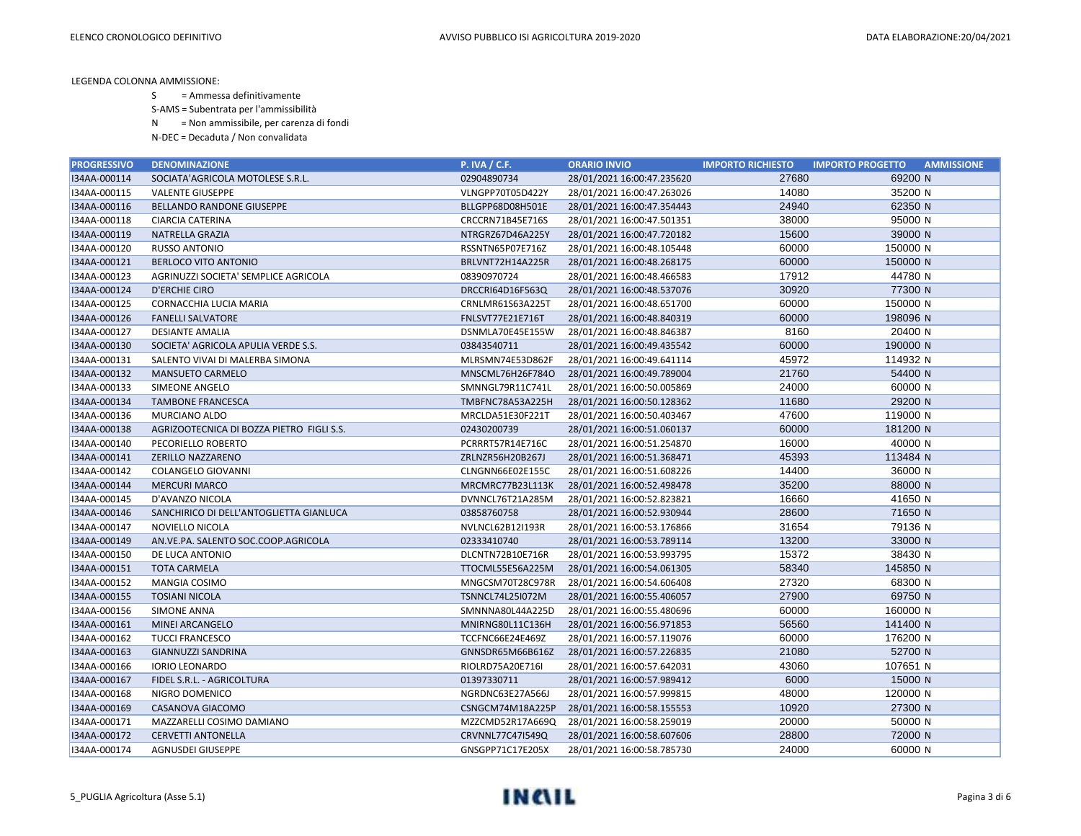S = Ammessa definitivamente

S-AMS = Subentrata per l'ammissibilità

N = Non ammissibile, per carenza di fondi

| <b>PROGRESSIVO</b> | <b>DENOMINAZIONE</b>                      | <b>P. IVA / C.F.</b> | <b>ORARIO INVIO</b>        | <b>IMPORTO RICHIESTO</b> | <b>AMMISSIONE</b><br><b>IMPORTO PROGETTO</b> |
|--------------------|-------------------------------------------|----------------------|----------------------------|--------------------------|----------------------------------------------|
| I34AA-000114       | SOCIATA'AGRICOLA MOTOLESE S.R.L.          | 02904890734          | 28/01/2021 16:00:47.235620 | 27680                    | 69200 N                                      |
| I34AA-000115       | <b>VALENTE GIUSEPPE</b>                   | VLNGPP70T05D422Y     | 28/01/2021 16:00:47.263026 | 14080                    | 35200 N                                      |
| I34AA-000116       | <b>BELLANDO RANDONE GIUSEPPE</b>          | BLLGPP68D08H501E     | 28/01/2021 16:00:47.354443 | 24940                    | 62350 N                                      |
| I34AA-000118       | <b>CIARCIA CATERINA</b>                   | CRCCRN71B45E716S     | 28/01/2021 16:00:47.501351 | 38000                    | 95000 N                                      |
| I34AA-000119       | NATRELLA GRAZIA                           | NTRGRZ67D46A225Y     | 28/01/2021 16:00:47.720182 | 15600                    | 39000 N                                      |
| I34AA-000120       | <b>RUSSO ANTONIO</b>                      | RSSNTN65P07E716Z     | 28/01/2021 16:00:48.105448 | 60000                    | 150000 N                                     |
| I34AA-000121       | <b>BERLOCO VITO ANTONIO</b>               | BRLVNT72H14A225R     | 28/01/2021 16:00:48.268175 | 60000                    | 150000 N                                     |
| I34AA-000123       | AGRINUZZI SOCIETA' SEMPLICE AGRICOLA      | 08390970724          | 28/01/2021 16:00:48.466583 | 17912                    | 44780 N                                      |
| I34AA-000124       | <b>D'ERCHIE CIRO</b>                      | DRCCRI64D16F563Q     | 28/01/2021 16:00:48.537076 | 30920                    | 77300 N                                      |
| I34AA-000125       | CORNACCHIA LUCIA MARIA                    | CRNLMR61S63A225T     | 28/01/2021 16:00:48.651700 | 60000                    | 150000 N                                     |
| I34AA-000126       | <b>FANELLI SALVATORE</b>                  | FNLSVT77E21E716T     | 28/01/2021 16:00:48.840319 | 60000                    | 198096 N                                     |
| I34AA-000127       | <b>DESIANTE AMALIA</b>                    | DSNMLA70E45E155W     | 28/01/2021 16:00:48.846387 | 8160                     | 20400 N                                      |
| I34AA-000130       | SOCIETA' AGRICOLA APULIA VERDE S.S.       | 03843540711          | 28/01/2021 16:00:49.435542 | 60000                    | 190000 N                                     |
| I34AA-000131       | SALENTO VIVAI DI MALERBA SIMONA           | MLRSMN74E53D862F     | 28/01/2021 16:00:49.641114 | 45972                    | 114932 N                                     |
| I34AA-000132       | <b>MANSUETO CARMELO</b>                   | MNSCML76H26F784O     | 28/01/2021 16:00:49.789004 | 21760                    | 54400 N                                      |
| I34AA-000133       | SIMEONE ANGELO                            | SMNNGL79R11C741L     | 28/01/2021 16:00:50.005869 | 24000                    | 60000 N                                      |
| I34AA-000134       | <b>TAMBONE FRANCESCA</b>                  | TMBFNC78A53A225H     | 28/01/2021 16:00:50.128362 | 11680                    | 29200 N                                      |
| I34AA-000136       | MURCIANO ALDO                             | MRCLDA51E30F221T     | 28/01/2021 16:00:50.403467 | 47600                    | 119000 N                                     |
| I34AA-000138       | AGRIZOOTECNICA DI BOZZA PIETRO FIGLI S.S. | 02430200739          | 28/01/2021 16:00:51.060137 | 60000                    | 181200 N                                     |
| I34AA-000140       | PECORIELLO ROBERTO                        | PCRRRT57R14E716C     | 28/01/2021 16:00:51.254870 | 16000                    | 40000 N                                      |
| I34AA-000141       | ZERILLO NAZZARENO                         | ZRLNZR56H20B267J     | 28/01/2021 16:00:51.368471 | 45393                    | 113484 N                                     |
| I34AA-000142       | COLANGELO GIOVANNI                        | CLNGNN66E02E155C     | 28/01/2021 16:00:51.608226 | 14400                    | 36000 N                                      |
| I34AA-000144       | <b>MERCURI MARCO</b>                      | MRCMRC77B23L113K     | 28/01/2021 16:00:52.498478 | 35200                    | 88000 N                                      |
| I34AA-000145       | D'AVANZO NICOLA                           | DVNNCL76T21A285M     | 28/01/2021 16:00:52.823821 | 16660                    | 41650 N                                      |
| I34AA-000146       | SANCHIRICO DI DELL'ANTOGLIETTA GIANLUCA   | 03858760758          | 28/01/2021 16:00:52.930944 | 28600                    | 71650 N                                      |
| I34AA-000147       | NOVIELLO NICOLA                           | NVLNCL62B12I193R     | 28/01/2021 16:00:53.176866 | 31654                    | 79136 N                                      |
| I34AA-000149       | AN.VE.PA. SALENTO SOC.COOP.AGRICOLA       | 02333410740          | 28/01/2021 16:00:53.789114 | 13200                    | 33000 N                                      |
| I34AA-000150       | DE LUCA ANTONIO                           | DLCNTN72B10E716R     | 28/01/2021 16:00:53.993795 | 15372                    | 38430 N                                      |
| I34AA-000151       | <b>TOTA CARMELA</b>                       | TTOCML55E56A225M     | 28/01/2021 16:00:54.061305 | 58340                    | 145850 N                                     |
| I34AA-000152       | MANGIA COSIMO                             | MNGCSM70T28C978R     | 28/01/2021 16:00:54.606408 | 27320                    | 68300 N                                      |
| I34AA-000155       | <b>TOSIANI NICOLA</b>                     | TSNNCL74L25I072M     | 28/01/2021 16:00:55.406057 | 27900                    | 69750 N                                      |
| I34AA-000156       | <b>SIMONE ANNA</b>                        | SMNNNA80L44A225D     | 28/01/2021 16:00:55.480696 | 60000                    | 160000 N                                     |
| I34AA-000161       | MINEI ARCANGELO                           | MNIRNG80L11C136H     | 28/01/2021 16:00:56.971853 | 56560                    | 141400 N                                     |
| 134AA-000162       | <b>TUCCI FRANCESCO</b>                    | TCCFNC66E24E469Z     | 28/01/2021 16:00:57.119076 | 60000                    | 176200 N                                     |
| I34AA-000163       | <b>GIANNUZZI SANDRINA</b>                 | GNNSDR65M66B616Z     | 28/01/2021 16:00:57.226835 | 21080                    | 52700 N                                      |
| I34AA-000166       | <b>IORIO LEONARDO</b>                     | RIOLRD75A20E716I     | 28/01/2021 16:00:57.642031 | 43060                    | 107651 N                                     |
| I34AA-000167       | FIDEL S.R.L. - AGRICOLTURA                | 01397330711          | 28/01/2021 16:00:57.989412 | 6000                     | 15000 N                                      |
| I34AA-000168       | NIGRO DOMENICO                            | NGRDNC63E27A566J     | 28/01/2021 16:00:57.999815 | 48000                    | 120000 N                                     |
| I34AA-000169       | CASANOVA GIACOMO                          | CSNGCM74M18A225P     | 28/01/2021 16:00:58.155553 | 10920                    | 27300 N                                      |
| I34AA-000171       | MAZZARELLI COSIMO DAMIANO                 | MZZCMD52R17A669Q     | 28/01/2021 16:00:58.259019 | 20000                    | 50000 N                                      |
| I34AA-000172       | <b>CERVETTI ANTONELLA</b>                 | CRVNNL77C47I549Q     | 28/01/2021 16:00:58.607606 | 28800                    | 72000 N                                      |
| I34AA-000174       | <b>AGNUSDEI GIUSEPPE</b>                  | GNSGPP71C17E205X     | 28/01/2021 16:00:58.785730 | 24000                    | 60000 N                                      |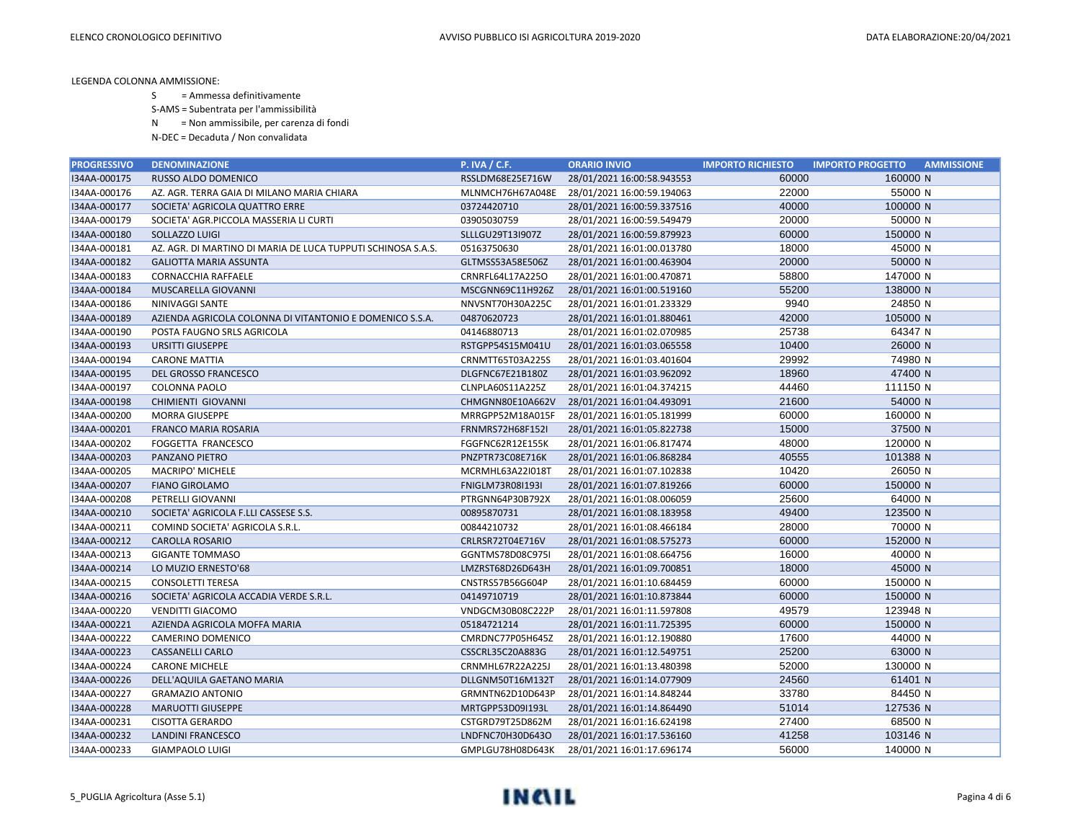S = Ammessa definitivamente

S-AMS = Subentrata per l'ammissibilità

N = Non ammissibile, per carenza di fondi

| <b>PROGRESSIVO</b> | <b>DENOMINAZIONE</b>                                         | <b>P. IVA / C.F.</b>    | <b>ORARIO INVIO</b>        | <b>IMPORTO RICHIESTO</b> | <b>IMPORTO PROGETTO</b> | <b>AMMISSIONE</b> |
|--------------------|--------------------------------------------------------------|-------------------------|----------------------------|--------------------------|-------------------------|-------------------|
| I34AA-000175       | RUSSO ALDO DOMENICO                                          | RSSLDM68E25E716W        | 28/01/2021 16:00:58.943553 | 60000                    | 160000 N                |                   |
| I34AA-000176       | AZ. AGR. TERRA GAIA DI MILANO MARIA CHIARA                   | MLNMCH76H67A048E        | 28/01/2021 16:00:59.194063 | 22000                    | 55000 N                 |                   |
| I34AA-000177       | SOCIETA' AGRICOLA QUATTRO ERRE                               | 03724420710             | 28/01/2021 16:00:59.337516 | 40000                    | 100000 N                |                   |
| I34AA-000179       | SOCIETA' AGR.PICCOLA MASSERIA LI CURTI                       | 03905030759             | 28/01/2021 16:00:59.549479 | 20000                    | 50000 N                 |                   |
| I34AA-000180       | SOLLAZZO LUIGI                                               | SLLLGU29T13I907Z        | 28/01/2021 16:00:59.879923 | 60000                    | 150000 N                |                   |
| I34AA-000181       | AZ. AGR. DI MARTINO DI MARIA DE LUCA TUPPUTI SCHINOSA S.A.S. | 05163750630             | 28/01/2021 16:01:00.013780 | 18000                    | 45000 N                 |                   |
| I34AA-000182       | <b>GALIOTTA MARIA ASSUNTA</b>                                | GLTMSS53A58E506Z        | 28/01/2021 16:01:00.463904 | 20000                    | 50000 N                 |                   |
| I34AA-000183       | <b>CORNACCHIA RAFFAELE</b>                                   | CRNRFL64L17A225O        | 28/01/2021 16:01:00.470871 | 58800                    | 147000 N                |                   |
| I34AA-000184       | MUSCARELLA GIOVANNI                                          | MSCGNN69C11H926Z        | 28/01/2021 16:01:00.519160 | 55200                    | 138000 N                |                   |
| I34AA-000186       | NINIVAGGI SANTE                                              | NNVSNT70H30A225C        | 28/01/2021 16:01:01.233329 | 9940                     | 24850 N                 |                   |
| I34AA-000189       | AZIENDA AGRICOLA COLONNA DI VITANTONIO E DOMENICO S.S.A.     | 04870620723             | 28/01/2021 16:01:01.880461 | 42000                    | 105000 N                |                   |
| I34AA-000190       | POSTA FAUGNO SRLS AGRICOLA                                   | 04146880713             | 28/01/2021 16:01:02.070985 | 25738                    | 64347 N                 |                   |
| I34AA-000193       | <b>URSITTI GIUSEPPE</b>                                      | RSTGPP54S15M041U        | 28/01/2021 16:01:03.065558 | 10400                    | 26000 N                 |                   |
| I34AA-000194       | <b>CARONE MATTIA</b>                                         | CRNMTT65T03A225S        | 28/01/2021 16:01:03.401604 | 29992                    | 74980 N                 |                   |
| I34AA-000195       | <b>DEL GROSSO FRANCESCO</b>                                  | DLGFNC67E21B180Z        | 28/01/2021 16:01:03.962092 | 18960                    | 47400 N                 |                   |
| I34AA-000197       | <b>COLONNA PAOLO</b>                                         | CLNPLA60S11A225Z        | 28/01/2021 16:01:04.374215 | 44460                    | 111150 N                |                   |
| I34AA-000198       | CHIMIENTI GIOVANNI                                           | CHMGNN80E10A662V        | 28/01/2021 16:01:04.493091 | 21600                    | 54000 N                 |                   |
| 134AA-000200       | <b>MORRA GIUSEPPE</b>                                        | MRRGPP52M18A015F        | 28/01/2021 16:01:05.181999 | 60000                    | 160000 N                |                   |
| I34AA-000201       | <b>FRANCO MARIA ROSARIA</b>                                  | <b>FRNMRS72H68F152I</b> | 28/01/2021 16:01:05.822738 | 15000                    | 37500 N                 |                   |
| I34AA-000202       | FOGGETTA FRANCESCO                                           | FGGFNC62R12E155K        | 28/01/2021 16:01:06.817474 | 48000                    | 120000 N                |                   |
| I34AA-000203       | PANZANO PIETRO                                               | PNZPTR73C08E716K        | 28/01/2021 16:01:06.868284 | 40555                    | 101388 N                |                   |
| I34AA-000205       | MACRIPO' MICHELE                                             | MCRMHL63A22I018T        | 28/01/2021 16:01:07.102838 | 10420                    | 26050 N                 |                   |
| I34AA-000207       | <b>FIANO GIROLAMO</b>                                        | FNIGLM73R08I193I        | 28/01/2021 16:01:07.819266 | 60000                    | 150000 N                |                   |
| I34AA-000208       | PETRELLI GIOVANNI                                            | PTRGNN64P30B792X        | 28/01/2021 16:01:08.006059 | 25600                    | 64000 N                 |                   |
| I34AA-000210       | SOCIETA' AGRICOLA F.LLI CASSESE S.S.                         | 00895870731             | 28/01/2021 16:01:08.183958 | 49400                    | 123500 N                |                   |
| I34AA-000211       | COMIND SOCIETA' AGRICOLA S.R.L.                              | 00844210732             | 28/01/2021 16:01:08.466184 | 28000                    | 70000 N                 |                   |
| I34AA-000212       | <b>CAROLLA ROSARIO</b>                                       | CRLRSR72T04E716V        | 28/01/2021 16:01:08.575273 | 60000                    | 152000 N                |                   |
| I34AA-000213       | <b>GIGANTE TOMMASO</b>                                       | GGNTMS78D08C975I        | 28/01/2021 16:01:08.664756 | 16000                    | 40000 N                 |                   |
| I34AA-000214       | LO MUZIO ERNESTO'68                                          | LMZRST68D26D643H        | 28/01/2021 16:01:09.700851 | 18000                    | 45000 N                 |                   |
| I34AA-000215       | <b>CONSOLETTI TERESA</b>                                     | CNSTRS57B56G604P        | 28/01/2021 16:01:10.684459 | 60000                    | 150000 N                |                   |
| I34AA-000216       | SOCIETA' AGRICOLA ACCADIA VERDE S.R.L.                       | 04149710719             | 28/01/2021 16:01:10.873844 | 60000                    | 150000 N                |                   |
| I34AA-000220       | <b>VENDITTI GIACOMO</b>                                      | VNDGCM30B08C222P        | 28/01/2021 16:01:11.597808 | 49579                    | 123948 N                |                   |
| I34AA-000221       | AZIENDA AGRICOLA MOFFA MARIA                                 | 05184721214             | 28/01/2021 16:01:11.725395 | 60000                    | 150000 N                |                   |
| I34AA-000222       | CAMERINO DOMENICO                                            | CMRDNC77P05H645Z        | 28/01/2021 16:01:12.190880 | 17600                    | 44000 N                 |                   |
| I34AA-000223       | <b>CASSANELLI CARLO</b>                                      | CSSCRL35C20A883G        | 28/01/2021 16:01:12.549751 | 25200                    | 63000 N                 |                   |
| I34AA-000224       | <b>CARONE MICHELE</b>                                        | CRNMHL67R22A225J        | 28/01/2021 16:01:13.480398 | 52000                    | 130000 N                |                   |
| I34AA-000226       | DELL'AQUILA GAETANO MARIA                                    | DLLGNM50T16M132T        | 28/01/2021 16:01:14.077909 | 24560                    | 61401 N                 |                   |
| I34AA-000227       | <b>GRAMAZIO ANTONIO</b>                                      | GRMNTN62D10D643P        | 28/01/2021 16:01:14.848244 | 33780                    | 84450 N                 |                   |
| I34AA-000228       | <b>MARUOTTI GIUSEPPE</b>                                     | MRTGPP53D09I193L        | 28/01/2021 16:01:14.864490 | 51014                    | 127536 N                |                   |
| I34AA-000231       | <b>CISOTTA GERARDO</b>                                       | CSTGRD79T25D862M        | 28/01/2021 16:01:16.624198 | 27400                    | 68500 N                 |                   |
| I34AA-000232       | <b>LANDINI FRANCESCO</b>                                     | LNDFNC70H30D643O        | 28/01/2021 16:01:17.536160 | 41258                    | 103146 N                |                   |
| I34AA-000233       | <b>GIAMPAOLO LUIGI</b>                                       | GMPLGU78H08D643K        | 28/01/2021 16:01:17.696174 | 56000                    | 140000 N                |                   |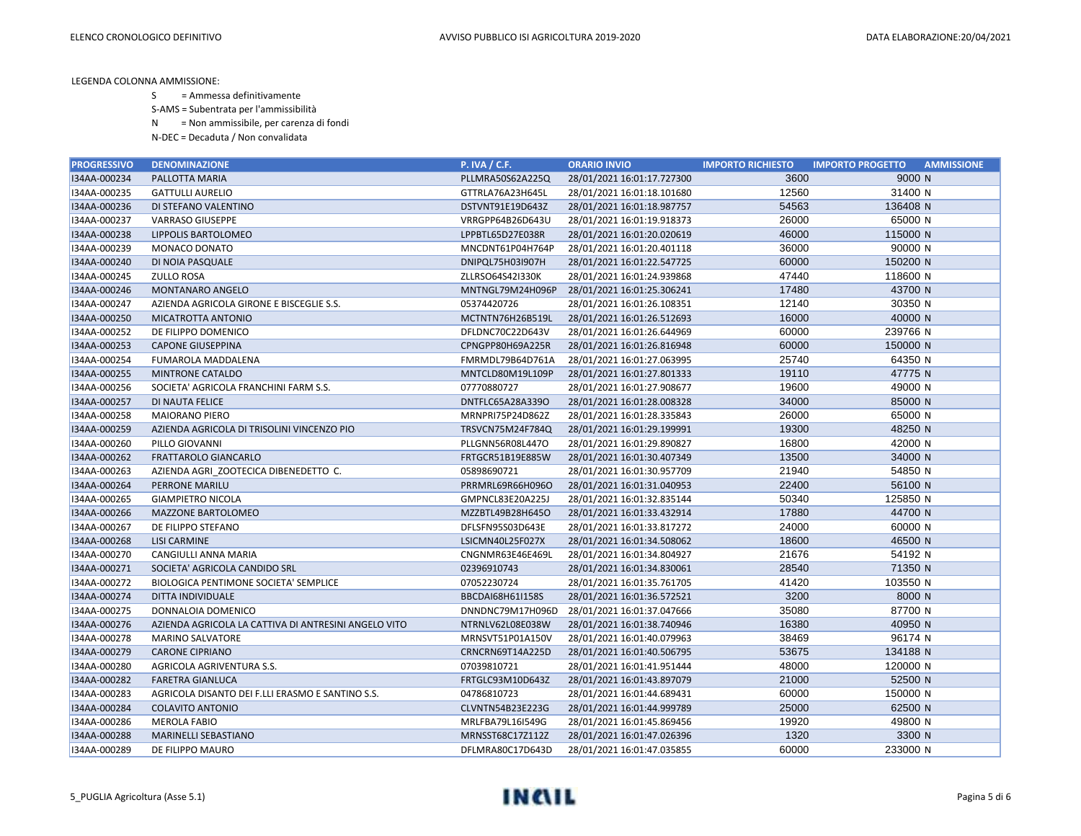S = Ammessa definitivamente

S-AMS = Subentrata per l'ammissibilità

N = Non ammissibile, per carenza di fondi

| <b>PROGRESSIVO</b> | <b>DENOMINAZIONE</b>                                 | <b>P. IVA / C.F.</b> | <b>ORARIO INVIO</b>        | <b>IMPORTO RICHIESTO</b> | <b>IMPORTO PROGETTO</b><br><b>AMMISSIONE</b> |
|--------------------|------------------------------------------------------|----------------------|----------------------------|--------------------------|----------------------------------------------|
| I34AA-000234       | PALLOTTA MARIA                                       | PLLMRA50S62A225Q     | 28/01/2021 16:01:17.727300 | 3600                     | 9000 N                                       |
| I34AA-000235       | <b>GATTULLI AURELIO</b>                              | GTTRLA76A23H645L     | 28/01/2021 16:01:18.101680 | 12560                    | 31400 N                                      |
| I34AA-000236       | DI STEFANO VALENTINO                                 | DSTVNT91E19D643Z     | 28/01/2021 16:01:18.987757 | 54563                    | 136408 N                                     |
| I34AA-000237       | <b>VARRASO GIUSEPPE</b>                              | VRRGPP64B26D643U     | 28/01/2021 16:01:19.918373 | 26000                    | 65000 N                                      |
| I34AA-000238       | LIPPOLIS BARTOLOMEO                                  | LPPBTL65D27E038R     | 28/01/2021 16:01:20.020619 | 46000                    | 115000 N                                     |
| I34AA-000239       | MONACO DONATO                                        | MNCDNT61P04H764P     | 28/01/2021 16:01:20.401118 | 36000                    | 90000 N                                      |
| I34AA-000240       | DI NOIA PASQUALE                                     | DNIPQL75H03I907H     | 28/01/2021 16:01:22.547725 | 60000                    | 150200 N                                     |
| I34AA-000245       | <b>ZULLO ROSA</b>                                    | ZLLRSO64S42I330K     | 28/01/2021 16:01:24.939868 | 47440                    | 118600 N                                     |
| I34AA-000246       | <b>MONTANARO ANGELO</b>                              | MNTNGL79M24H096P     | 28/01/2021 16:01:25.306241 | 17480                    | 43700 N                                      |
| I34AA-000247       | AZIENDA AGRICOLA GIRONE E BISCEGLIE S.S.             | 05374420726          | 28/01/2021 16:01:26.108351 | 12140                    | 30350 N                                      |
| I34AA-000250       | MICATROTTA ANTONIO                                   | MCTNTN76H26B519L     | 28/01/2021 16:01:26.512693 | 16000                    | 40000 N                                      |
| I34AA-000252       | DE FILIPPO DOMENICO                                  | DFLDNC70C22D643V     | 28/01/2021 16:01:26.644969 | 60000                    | 239766 N                                     |
| I34AA-000253       | <b>CAPONE GIUSEPPINA</b>                             | CPNGPP80H69A225R     | 28/01/2021 16:01:26.816948 | 60000                    | 150000 N                                     |
| I34AA-000254       | FUMAROLA MADDALENA                                   | FMRMDL79B64D761A     | 28/01/2021 16:01:27.063995 | 25740                    | 64350 N                                      |
| I34AA-000255       | <b>MINTRONE CATALDO</b>                              | MNTCLD80M19L109P     | 28/01/2021 16:01:27.801333 | 19110                    | 47775 N                                      |
| I34AA-000256       | SOCIETA' AGRICOLA FRANCHINI FARM S.S.                | 07770880727          | 28/01/2021 16:01:27.908677 | 19600                    | 49000 N                                      |
| I34AA-000257       | DI NAUTA FELICE                                      | DNTFLC65A28A339O     | 28/01/2021 16:01:28.008328 | 34000                    | 85000 N                                      |
| I34AA-000258       | <b>MAIORANO PIERO</b>                                | MRNPRI75P24D862Z     | 28/01/2021 16:01:28.335843 | 26000                    | 65000 N                                      |
| I34AA-000259       | AZIENDA AGRICOLA DI TRISOLINI VINCENZO PIO           | TRSVCN75M24F784Q     | 28/01/2021 16:01:29.199991 | 19300                    | 48250 N                                      |
| I34AA-000260       | PILLO GIOVANNI                                       | PLLGNN56R08L447O     | 28/01/2021 16:01:29.890827 | 16800                    | 42000 N                                      |
| I34AA-000262       | FRATTAROLO GIANCARLO                                 | FRTGCR51B19E885W     | 28/01/2021 16:01:30.407349 | 13500                    | 34000 N                                      |
| I34AA-000263       | AZIENDA AGRI ZOOTECICA DIBENEDETTO C.                | 05898690721          | 28/01/2021 16:01:30.957709 | 21940                    | 54850 N                                      |
| I34AA-000264       | <b>PERRONE MARILU</b>                                | PRRMRL69R66H096O     | 28/01/2021 16:01:31.040953 | 22400                    | 56100 N                                      |
| I34AA-000265       | <b>GIAMPIETRO NICOLA</b>                             | GMPNCL83E20A225J     | 28/01/2021 16:01:32.835144 | 50340                    | 125850 N                                     |
| I34AA-000266       | <b>MAZZONE BARTOLOMEO</b>                            | MZZBTL49B28H645O     | 28/01/2021 16:01:33.432914 | 17880                    | 44700 N                                      |
| I34AA-000267       | DE FILIPPO STEFANO                                   | DFLSFN95S03D643E     | 28/01/2021 16:01:33.817272 | 24000                    | 60000 N                                      |
| I34AA-000268       | <b>LISI CARMINE</b>                                  | LSICMN40L25F027X     | 28/01/2021 16:01:34.508062 | 18600                    | 46500 N                                      |
| I34AA-000270       | CANGIULLI ANNA MARIA                                 | CNGNMR63E46E469L     | 28/01/2021 16:01:34.804927 | 21676                    | 54192 N                                      |
| I34AA-000271       | SOCIETA' AGRICOLA CANDIDO SRL                        | 02396910743          | 28/01/2021 16:01:34.830061 | 28540                    | 71350 N                                      |
| I34AA-000272       | BIOLOGICA PENTIMONE SOCIETA' SEMPLICE                | 07052230724          | 28/01/2021 16:01:35.761705 | 41420                    | 103550 N                                     |
| I34AA-000274       | DITTA INDIVIDUALE                                    | BBCDAI68H61I158S     | 28/01/2021 16:01:36.572521 | 3200                     | 8000 N                                       |
| I34AA-000275       | DONNALOIA DOMENICO                                   | DNNDNC79M17H096D     | 28/01/2021 16:01:37.047666 | 35080                    | 87700 N                                      |
| I34AA-000276       | AZIENDA AGRICOLA LA CATTIVA DI ANTRESINI ANGELO VITO | NTRNLV62L08E038W     | 28/01/2021 16:01:38.740946 | 16380                    | 40950 N                                      |
| I34AA-000278       | <b>MARINO SALVATORE</b>                              | MRNSVT51P01A150V     | 28/01/2021 16:01:40.079963 | 38469                    | 96174 N                                      |
| I34AA-000279       | <b>CARONE CIPRIANO</b>                               | CRNCRN69T14A225D     | 28/01/2021 16:01:40.506795 | 53675                    | 134188 N                                     |
| I34AA-000280       | AGRICOLA AGRIVENTURA S.S.                            | 07039810721          | 28/01/2021 16:01:41.951444 | 48000                    | 120000 N                                     |
| I34AA-000282       | <b>FARETRA GIANLUCA</b>                              | FRTGLC93M10D643Z     | 28/01/2021 16:01:43.897079 | 21000                    | 52500 N                                      |
| I34AA-000283       | AGRICOLA DISANTO DEI F.LLI ERASMO E SANTINO S.S.     | 04786810723          | 28/01/2021 16:01:44.689431 | 60000                    | 150000 N                                     |
| I34AA-000284       | <b>COLAVITO ANTONIO</b>                              | CLVNTN54B23E223G     | 28/01/2021 16:01:44.999789 | 25000                    | 62500 N                                      |
| I34AA-000286       | <b>MEROLA FABIO</b>                                  | MRLFBA79L16I549G     | 28/01/2021 16:01:45.869456 | 19920                    | 49800 N                                      |
| I34AA-000288       | MARINELLI SEBASTIANO                                 | MRNSST68C17Z112Z     | 28/01/2021 16:01:47.026396 | 1320                     | 3300 N                                       |
| I34AA-000289       | DE FILIPPO MAURO                                     | DFLMRA80C17D643D     | 28/01/2021 16:01:47.035855 | 60000                    | 233000 N                                     |